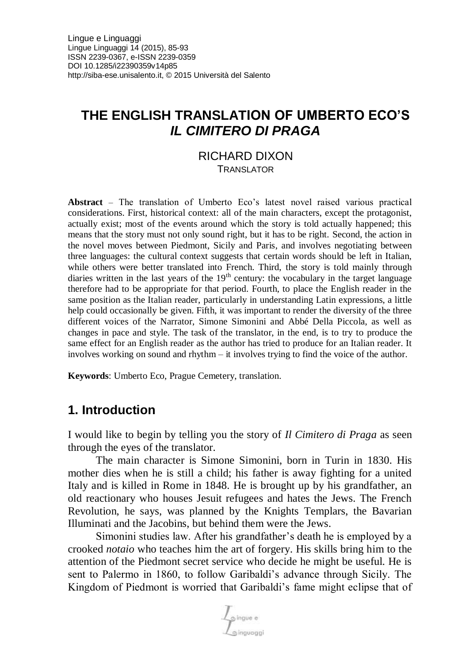# **THE ENGLISH TRANSLATION OF UMBERTO ECO'S** *IL CIMITERO DI PRAGA*

### RICHARD DIXON TRANSLATOR

**Abstract** – The translation of Umberto Eco's latest novel raised various practical considerations. First, historical context: all of the main characters, except the protagonist, actually exist; most of the events around which the story is told actually happened; this means that the story must not only sound right, but it has to be right. Second, the action in the novel moves between Piedmont, Sicily and Paris, and involves negotiating between three languages: the cultural context suggests that certain words should be left in Italian, while others were better translated into French. Third, the story is told mainly through diaries written in the last years of the  $19<sup>th</sup>$  century: the vocabulary in the target language therefore had to be appropriate for that period. Fourth, to place the English reader in the same position as the Italian reader, particularly in understanding Latin expressions, a little help could occasionally be given. Fifth, it was important to render the diversity of the three different voices of the Narrator, Simone Simonini and Abbé Della Piccola, as well as changes in pace and style. The task of the translator, in the end, is to try to produce the same effect for an English reader as the author has tried to produce for an Italian reader. It involves working on sound and rhythm – it involves trying to find the voice of the author.

**Keywords**: Umberto Eco, Prague Cemetery, translation.

# **1. Introduction**

I would like to begin by telling you the story of *Il Cimitero di Praga* as seen through the eyes of the translator.

The main character is Simone Simonini, born in Turin in 1830. His mother dies when he is still a child; his father is away fighting for a united Italy and is killed in Rome in 1848. He is brought up by his grandfather, an old reactionary who houses Jesuit refugees and hates the Jews. The French Revolution, he says, was planned by the Knights Templars, the Bavarian Illuminati and the Jacobins, but behind them were the Jews.

Simonini studies law. After his grandfather's death he is employed by a crooked *notaio* who teaches him the art of forgery. His skills bring him to the attention of the Piedmont secret service who decide he might be useful. He is sent to Palermo in 1860, to follow Garibaldi's advance through Sicily. The Kingdom of Piedmont is worried that Garibaldi's fame might eclipse that of

 $\int$  ingue e s inquoqqi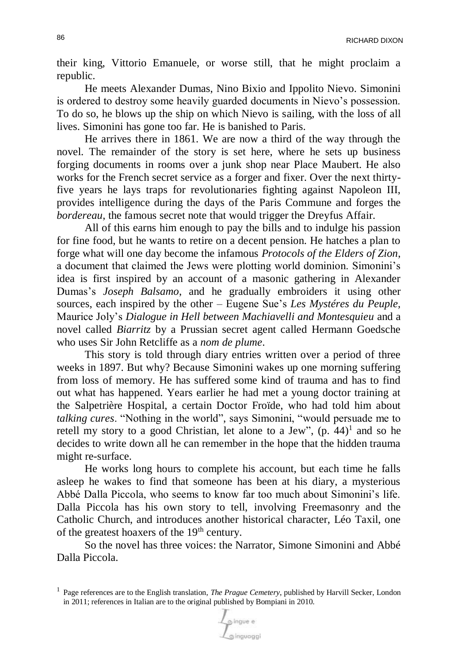their king, Vittorio Emanuele, or worse still, that he might proclaim a republic.

He meets Alexander Dumas, Nino Bixio and Ippolito Nievo. Simonini is ordered to destroy some heavily guarded documents in Nievo's possession. To do so, he blows up the ship on which Nievo is sailing, with the loss of all lives. Simonini has gone too far. He is banished to Paris.

He arrives there in 1861. We are now a third of the way through the novel. The remainder of the story is set here, where he sets up business forging documents in rooms over a junk shop near Place Maubert. He also works for the French secret service as a forger and fixer. Over the next thirtyfive years he lays traps for revolutionaries fighting against Napoleon III, provides intelligence during the days of the Paris Commune and forges the *bordereau*, the famous secret note that would trigger the Dreyfus Affair.

All of this earns him enough to pay the bills and to indulge his passion for fine food, but he wants to retire on a decent pension. He hatches a plan to forge what will one day become the infamous *Protocols of the Elders of Zion*, a document that claimed the Jews were plotting world dominion. Simonini's idea is first inspired by an account of a masonic gathering in Alexander Dumas's *Joseph Balsamo*, and he gradually embroiders it using other sources, each inspired by the other – Eugene Sue's *Les Mystéres du Peuple,*  Maurice Joly's *Dialogue in Hell between Machiavelli and Montesquieu* and a novel called *Biarritz* by a Prussian secret agent called Hermann Goedsche who uses Sir John Retcliffe as a *nom de plume*.

This story is told through diary entries written over a period of three weeks in 1897. But why? Because Simonini wakes up one morning suffering from loss of memory. He has suffered some kind of trauma and has to find out what has happened. Years earlier he had met a young doctor training at the Salpetrière Hospital, a certain Doctor Froïde, who had told him about *talking cures*. "Nothing in the world", says Simonini, "would persuade me to retell my story to a good Christian, let alone to a Jew",  $(p. 44)^1$  and so he decides to write down all he can remember in the hope that the hidden trauma might re-surface.

He works long hours to complete his account, but each time he falls asleep he wakes to find that someone has been at his diary, a mysterious Abbé Dalla Piccola, who seems to know far too much about Simonini's life. Dalla Piccola has his own story to tell, involving Freemasonry and the Catholic Church, and introduces another historical character, Léo Taxil, one of the greatest hoaxers of the  $19<sup>th</sup>$  century.

So the novel has three voices: the Narrator, Simone Simonini and Abbé Dalla Piccola.

<sup>&</sup>lt;sup>1</sup> Page references are to the English translation, *The Prague Cemetery*, published by Harvill Secker, London in 2011; references in Italian are to the original published by Bompiani in 2010.

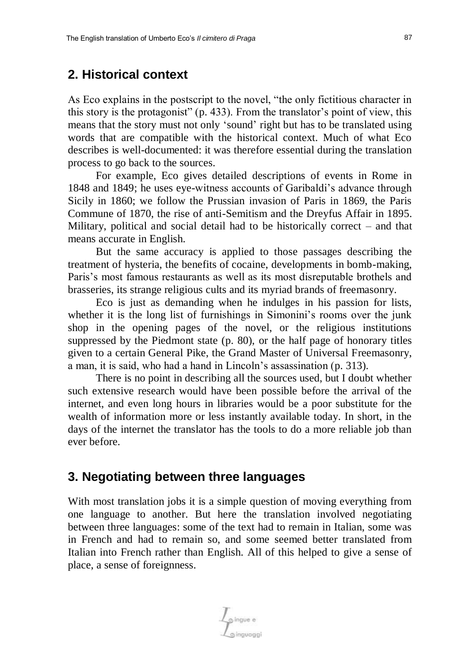### **2. Historical context**

As Eco explains in the postscript to the novel, "the only fictitious character in this story is the protagonist" (p. 433). From the translator's point of view, this means that the story must not only 'sound' right but has to be translated using words that are compatible with the historical context. Much of what Eco describes is well-documented: it was therefore essential during the translation process to go back to the sources.

For example, Eco gives detailed descriptions of events in Rome in 1848 and 1849; he uses eye-witness accounts of Garibaldi's advance through Sicily in 1860; we follow the Prussian invasion of Paris in 1869, the Paris Commune of 1870, the rise of anti-Semitism and the Dreyfus Affair in 1895. Military, political and social detail had to be historically correct – and that means accurate in English.

But the same accuracy is applied to those passages describing the treatment of hysteria, the benefits of cocaine, developments in bomb-making, Paris's most famous restaurants as well as its most disreputable brothels and brasseries, its strange religious cults and its myriad brands of freemasonry.

Eco is just as demanding when he indulges in his passion for lists, whether it is the long list of furnishings in Simonini's rooms over the junk shop in the opening pages of the novel, or the religious institutions suppressed by the Piedmont state (p. 80), or the half page of honorary titles given to a certain General Pike, the Grand Master of Universal Freemasonry, a man, it is said, who had a hand in Lincoln's assassination (p. 313).

There is no point in describing all the sources used, but I doubt whether such extensive research would have been possible before the arrival of the internet, and even long hours in libraries would be a poor substitute for the wealth of information more or less instantly available today. In short, in the days of the internet the translator has the tools to do a more reliable job than ever before.

## **3. Negotiating between three languages**

With most translation jobs it is a simple question of moving everything from one language to another. But here the translation involved negotiating between three languages: some of the text had to remain in Italian, some was in French and had to remain so, and some seemed better translated from Italian into French rather than English. All of this helped to give a sense of place, a sense of foreignness.

 $\mathcal{L}_{\text{gingue e}}$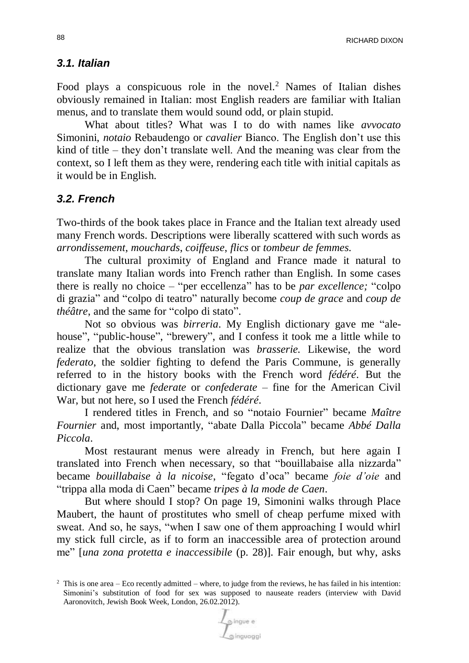88<br>RICHARD DIXON

#### *3.1. Italian*

Food plays a conspicuous role in the novel. <sup>2</sup> Names of Italian dishes obviously remained in Italian: most English readers are familiar with Italian menus, and to translate them would sound odd, or plain stupid.

What about titles? What was I to do with names like *avvocato* Simonini, *notaio* Rebaudengo or *cavalier* Bianco. The English don't use this kind of title – they don't translate well. And the meaning was clear from the context, so I left them as they were, rendering each title with initial capitals as it would be in English.

#### *3.2. French*

Two-thirds of the book takes place in France and the Italian text already used many French words. Descriptions were liberally scattered with such words as *arrondissement*, *mouchards*, *coiffeuse*, *flics* or *tombeur de femmes.*

The cultural proximity of England and France made it natural to translate many Italian words into French rather than English. In some cases there is really no choice – "per eccellenza" has to be *par excellence;* "colpo di grazia" and "colpo di teatro" naturally become *coup de grace* and *coup de théâtre*, and the same for "colpo di stato".

Not so obvious was *birreria*. My English dictionary gave me "alehouse", "public-house", "brewery", and I confess it took me a little while to realize that the obvious translation was *brasserie.* Likewise, the word *federato*, the soldier fighting to defend the Paris Commune, is generally referred to in the history books with the French word *fédéré*. But the dictionary gave me *federate* or *confederate* – fine for the American Civil War, but not here, so I used the French *fédéré*.

I rendered titles in French, and so "notaio Fournier" became *Maître Fournier* and, most importantly, "abate Dalla Piccola" became *Abbé Dalla Piccola*.

Most restaurant menus were already in French, but here again I translated into French when necessary, so that "bouillabaise alla nizzarda" became *bouillabaise à la nicoise*, "fegato d'oca" became *foie d'oie* and "trippa alla moda di Caen" became *tripes à la mode de Caen*.

But where should I stop? On page 19, Simonini walks through Place Maubert, the haunt of prostitutes who smell of cheap perfume mixed with sweat. And so, he says, "when I saw one of them approaching I would whirl my stick full circle, as if to form an inaccessible area of protection around me" [*una zona protetta e inaccessibile* (p. 28)]. Fair enough, but why, asks

 $2$  This is one area – Eco recently admitted – where, to judge from the reviews, he has failed in his intention: Simonini's substitution of food for sex was supposed to nauseate readers (interview with David Aaronovitch, Jewish Book Week, London, 26.02.2012).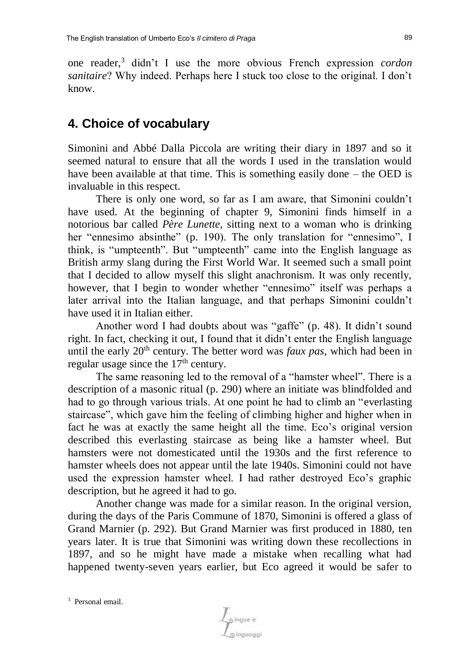one reader,<sup>3</sup> didn't I use the more obvious French expression *cordon sanitaire*? Why indeed. Perhaps here I stuck too close to the original. I don't know.

### **4. Choice of vocabulary**

Simonini and Abbé Dalla Piccola are writing their diary in 1897 and so it seemed natural to ensure that all the words I used in the translation would have been available at that time. This is something easily done – the OED is invaluable in this respect.

There is only one word, so far as I am aware, that Simonini couldn't have used. At the beginning of chapter 9, Simonini finds himself in a notorious bar called *Père Lunette*, sitting next to a woman who is drinking her "ennesimo absinthe" (p. 190). The only translation for "ennesimo", I think, is "umpteenth". But "umpteenth" came into the English language as British army slang during the First World War. It seemed such a small point that I decided to allow myself this slight anachronism. It was only recently, however, that I begin to wonder whether "ennesimo" itself was perhaps a later arrival into the Italian language, and that perhaps Simonini couldn't have used it in Italian either.

Another word I had doubts about was "gaffe" (p. 48). It didn't sound right. In fact, checking it out, I found that it didn't enter the English language until the early 20<sup>th</sup> century. The better word was *faux pas*, which had been in regular usage since the  $17<sup>th</sup>$  century.

The same reasoning led to the removal of a "hamster wheel". There is a description of a masonic ritual (p. 290) where an initiate was blindfolded and had to go through various trials. At one point he had to climb an "everlasting staircase", which gave him the feeling of climbing higher and higher when in fact he was at exactly the same height all the time. Eco's original version described this everlasting staircase as being like a hamster wheel. But hamsters were not domesticated until the 1930s and the first reference to hamster wheels does not appear until the late 1940s. Simonini could not have used the expression hamster wheel. I had rather destroyed Eco's graphic description, but he agreed it had to go.

Another change was made for a similar reason. In the original version, during the days of the Paris Commune of 1870, Simonini is offered a glass of Grand Marnier (p. 292). But Grand Marnier was first produced in 1880, ten years later. It is true that Simonini was writing down these recollections in 1897, and so he might have made a mistake when recalling what had happened twenty-seven years earlier, but Eco agreed it would be safer to

<sup>3</sup> Personal email.

 $\mathcal{L}_{\text{dip}}$ ingue e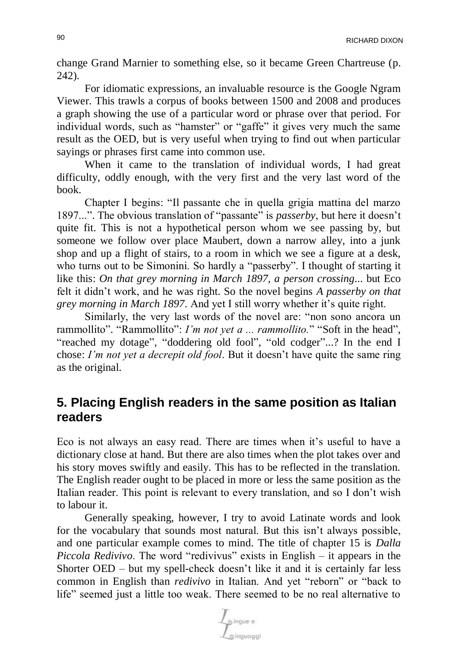change Grand Marnier to something else, so it became Green Chartreuse (p. 242).

For idiomatic expressions, an invaluable resource is the Google Ngram Viewer. This trawls a corpus of books between 1500 and 2008 and produces a graph showing the use of a particular word or phrase over that period. For individual words, such as "hamster" or "gaffe" it gives very much the same result as the OED, but is very useful when trying to find out when particular sayings or phrases first came into common use.

When it came to the translation of individual words, I had great difficulty, oddly enough, with the very first and the very last word of the book.

Chapter I begins: "Il passante che in quella grigia mattina del marzo 1897...". The obvious translation of "passante" is *passerby*, but here it doesn't quite fit. This is not a hypothetical person whom we see passing by, but someone we follow over place Maubert, down a narrow alley, into a junk shop and up a flight of stairs, to a room in which we see a figure at a desk, who turns out to be Simonini. So hardly a "passerby". I thought of starting it like this: *On that grey morning in March 1897, a person crossing*... but Eco felt it didn't work, and he was right. So the novel begins *A passerby on that grey morning in March 1897*. And yet I still worry whether it's quite right.

Similarly, the very last words of the novel are: "non sono ancora un rammollito". "Rammollito": *I'm not yet a ... rammollito.*" "Soft in the head", "reached my dotage", "doddering old fool", "old codger"...? In the end I chose: *I'm not yet a decrepit old fool*. But it doesn't have quite the same ring as the original.

# **5. Placing English readers in the same position as Italian readers**

Eco is not always an easy read. There are times when it's useful to have a dictionary close at hand. But there are also times when the plot takes over and his story moves swiftly and easily. This has to be reflected in the translation. The English reader ought to be placed in more or less the same position as the Italian reader. This point is relevant to every translation, and so I don't wish to labour it.

Generally speaking, however, I try to avoid Latinate words and look for the vocabulary that sounds most natural. But this isn't always possible, and one particular example comes to mind. The title of chapter 15 is *Dalla Piccola Redivivo*. The word "redivivus" exists in English – it appears in the Shorter OED – but my spell-check doesn't like it and it is certainly far less common in English than *redivivo* in Italian. And yet "reborn" or "back to life" seemed just a little too weak. There seemed to be no real alternative to

 $\mathcal{L}_{\mathcal{P}}$ ingue e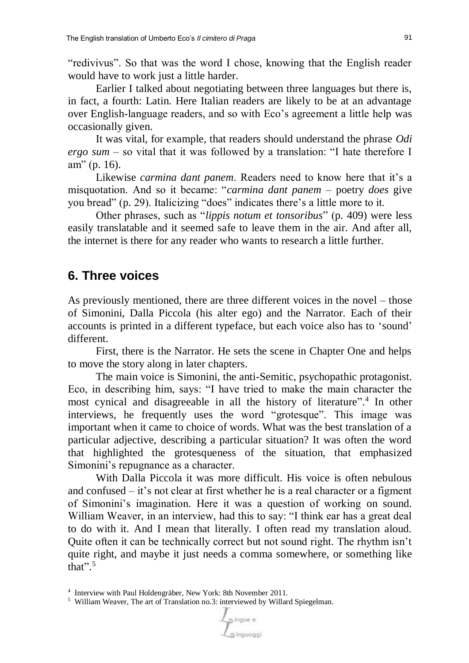"redivivus". So that was the word I chose, knowing that the English reader would have to work just a little harder.

Earlier I talked about negotiating between three languages but there is, in fact, a fourth: Latin. Here Italian readers are likely to be at an advantage over English-language readers, and so with Eco's agreement a little help was occasionally given.

It was vital, for example, that readers should understand the phrase *Odi ergo sum* – so vital that it was followed by a translation: "I hate therefore I am" (p. 16).

Likewise *carmina dant panem*. Readers need to know here that it's a misquotation. And so it became: "*carmina dant panem* – poetry *does* give you bread" (p. 29). Italicizing "does" indicates there's a little more to it.

Other phrases, such as "*lippis notum et tonsoribus*" (p. 409) were less easily translatable and it seemed safe to leave them in the air. And after all, the internet is there for any reader who wants to research a little further.

### **6. Three voices**

As previously mentioned, there are three different voices in the novel – those of Simonini, Dalla Piccola (his alter ego) and the Narrator. Each of their accounts is printed in a different typeface, but each voice also has to 'sound' different.

First, there is the Narrator. He sets the scene in Chapter One and helps to move the story along in later chapters.

The main voice is Simonini, the anti-Semitic, psychopathic protagonist. Eco, in describing him, says: "I have tried to make the main character the most cynical and disagreeable in all the history of literature". 4 In other interviews, he frequently uses the word "grotesque". This image was important when it came to choice of words. What was the best translation of a particular adjective, describing a particular situation? It was often the word that highlighted the grotesqueness of the situation, that emphasized Simonini's repugnance as a character.

With Dalla Piccola it was more difficult. His voice is often nebulous and confused – it's not clear at first whether he is a real character or a figment of Simonini's imagination. Here it was a question of working on sound. William Weaver, in an interview, had this to say: "I think ear has a great deal to do with it. And I mean that literally. I often read my translation aloud. Quite often it can be technically correct but not sound right. The rhythm isn't quite right, and maybe it just needs a comma somewhere, or something like that". 5

<sup>5</sup> William Weaver, The art of Translation no.3: interviewed by Willard Spiegelman.



<sup>4</sup> Interview with Paul Holdengräber, New York: 8th November 2011.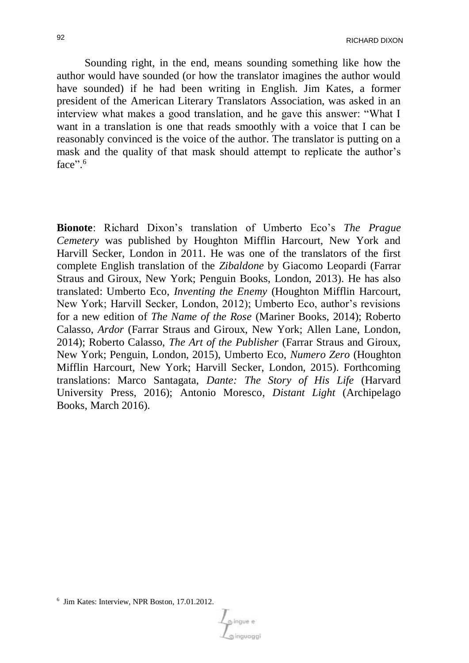ed and the state of the state of the state of the state of the state of the state of the state of the state of the state of the state of the state of the state of the state of the state of the state of the state of the sta

Sounding right, in the end, means sounding something like how the author would have sounded (or how the translator imagines the author would have sounded) if he had been writing in English. Jim Kates, a former president of the American Literary Translators Association, was asked in an interview what makes a good translation, and he gave this answer: "What I want in a translation is one that reads smoothly with a voice that I can be reasonably convinced is the voice of the author. The translator is putting on a mask and the quality of that mask should attempt to replicate the author's face".<sup>6</sup>

**Bionote**: Richard Dixon's translation of Umberto Eco's *The Prague Cemetery* was published by Houghton Mifflin Harcourt, New York and Harvill Secker, London in 2011. He was one of the translators of the first complete English translation of the *Zibaldone* by Giacomo Leopardi (Farrar Straus and Giroux, New York; Penguin Books, London, 2013). He has also translated: Umberto Eco, *Inventing the Enemy* (Houghton Mifflin Harcourt, New York; Harvill Secker, London, 2012); Umberto Eco, author's revisions for a new edition of *The Name of the Rose* (Mariner Books, 2014); Roberto Calasso, *Ardor* (Farrar Straus and Giroux, New York; Allen Lane, London, 2014); Roberto Calasso, *The Art of the Publisher* (Farrar Straus and Giroux, New York; Penguin, London, 2015), Umberto Eco, *Numero Zero* (Houghton Mifflin Harcourt, New York; Harvill Secker, London, 2015). Forthcoming translations: Marco Santagata, *Dante: The Story of His Life* (Harvard University Press, 2016); Antonio Moresco, *Distant Light* (Archipelago Books, March 2016).

o inque e